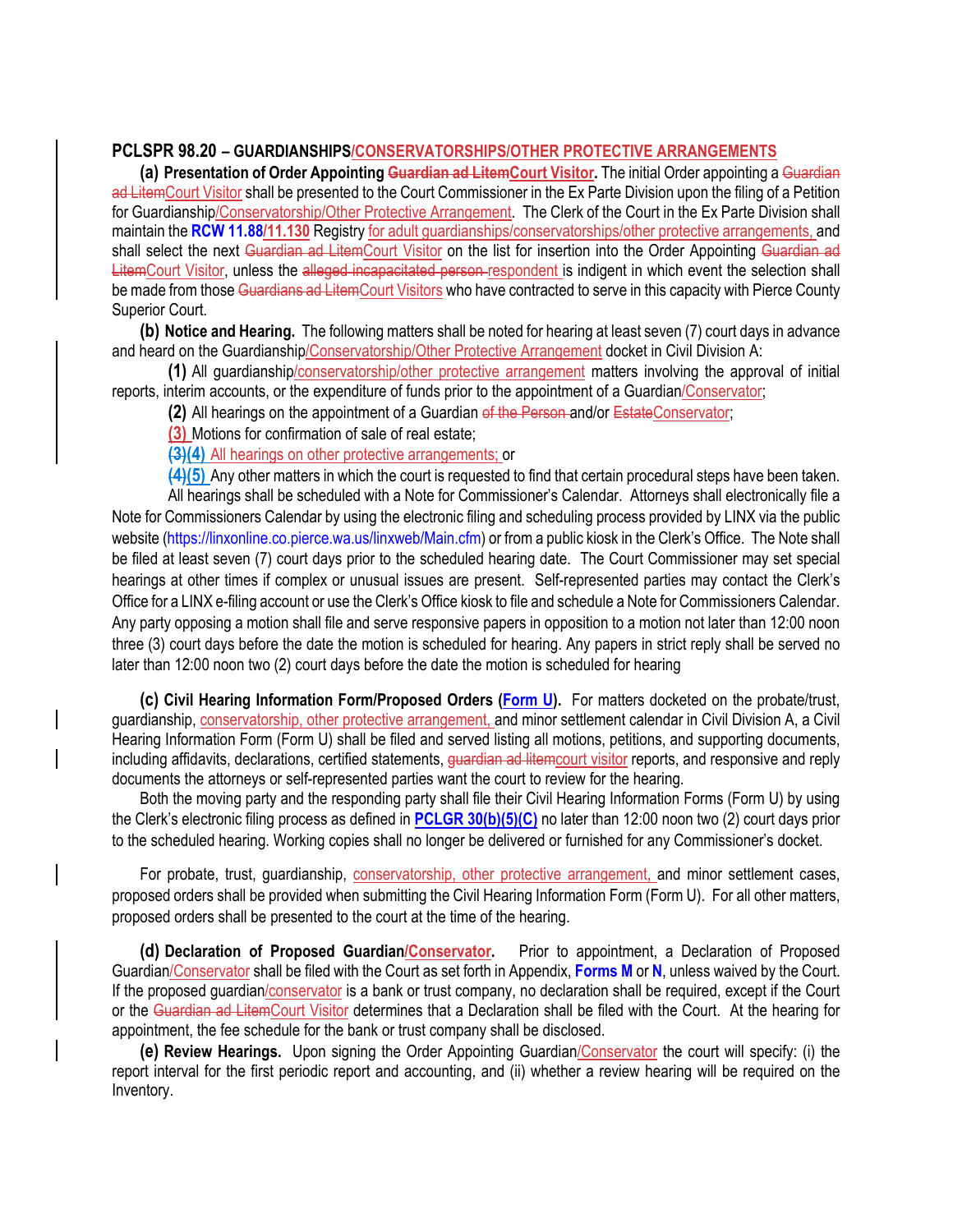## **PCLSPR 98.20 – GUARDIANSHIPS/CONSERVATORSHIPS/OTHER PROTECTIVE ARRANGEMENTS**

**(a) Presentation of Order Appointing Guardian ad LitemCourt Visitor.** The initial Order appointing a Guardian ad LitemCourt Visitor shall be presented to the Court Commissioner in the Ex Parte Division upon the filing of a Petition for Guardianship/Conservatorship/Other Protective Arrangement. The Clerk of the Court in the Ex Parte Division shall maintain the **RCW 11.88/11.130** Registry for adult guardianships/conservatorships/other protective arrangements, and shall select the next Guardian ad LitemCourt Visitor on the list for insertion into the Order Appointing Guardian ad LitemCourt Visitor, unless the alleged incapacitated person respondent is indigent in which event the selection shall be made from those Guardians ad LitemCourt Visitors who have contracted to serve in this capacity with Pierce County Superior Court.

**(b) Notice and Hearing.** The following matters shall be noted for hearing at least seven (7) court days in advance and heard on the Guardianship/Conservatorship/Other Protective Arrangement docket in Civil Division A:

**(1)** All guardianship/conservatorship/other protective arrangement matters involving the approval of initial reports, interim accounts, or the expenditure of funds prior to the appointment of a Guardian/Conservator;

**(2)** All hearings on the appointment of a Guardian of the Person and/or EstateConservator;

**(3)** Motions for confirmation of sale of real estate;

**(3)(4)** All hearings on other protective arrangements; or

**(4)(5)** Any other matters in which the court is requested to find that certain procedural steps have been taken.

All hearings shall be scheduled with a Note for Commissioner's Calendar. Attorneys shall electronically file a Note for Commissioners Calendar by using the electronic filing and scheduling process provided by LINX via the public website (https://linxonline.co.pierce.wa.us/linxweb/Main.cfm) or from a public kiosk in the Clerk's Office. The Note shall be filed at least seven (7) court days prior to the scheduled hearing date. The Court Commissioner may set special hearings at other times if complex or unusual issues are present. Self-represented parties may contact the Clerk's Office for a LINX e-filing account or use the Clerk's Office kiosk to file and schedule a Note for Commissioners Calendar. Any party opposing a motion shall file and serve responsive papers in opposition to a motion not later than 12:00 noon three (3) court days before the date the motion is scheduled for hearing. Any papers in strict reply shall be served no later than 12:00 noon two (2) court days before the date the motion is scheduled for hearing

**(c) Civil Hearing Information Form/Proposed Orders (Form U).** For matters docketed on the probate/trust, guardianship, conservatorship, other protective arrangement, and minor settlement calendar in Civil Division A, a Civil Hearing Information Form (Form U) shall be filed and served listing all motions, petitions, and supporting documents, including affidavits, declarations, certified statements, guardian ad litemcourt visitor reports, and responsive and reply documents the attorneys or self-represented parties want the court to review for the hearing.

Both the moving party and the responding party shall file their Civil Hearing Information Forms (Form U) by using the Clerk's electronic filing process as defined in **PCLGR 30(b)(5)(C)** no later than 12:00 noon two (2) court days prior to the scheduled hearing. Working copies shall no longer be delivered or furnished for any Commissioner's docket.

For probate, trust, guardianship, conservatorship, other protective arrangement, and minor settlement cases, proposed orders shall be provided when submitting the Civil Hearing Information Form (Form U). For all other matters, proposed orders shall be presented to the court at the time of the hearing.

**(d) Declaration of Proposed Guardian/Conservator.** Prior to appointment, a Declaration of Proposed Guardian/Conservator shall be filed with the Court as set forth in Appendix, **Forms M** or **N**, unless waived by the Court. If the proposed guardian/conservator is a bank or trust company, no declaration shall be required, except if the Court or the Guardian ad LitemCourt Visitor determines that a Declaration shall be filed with the Court. At the hearing for appointment, the fee schedule for the bank or trust company shall be disclosed.

**(e) Review Hearings.** Upon signing the Order Appointing Guardian/Conservator the court will specify: (i) the report interval for the first periodic report and accounting, and (ii) whether a review hearing will be required on the Inventory.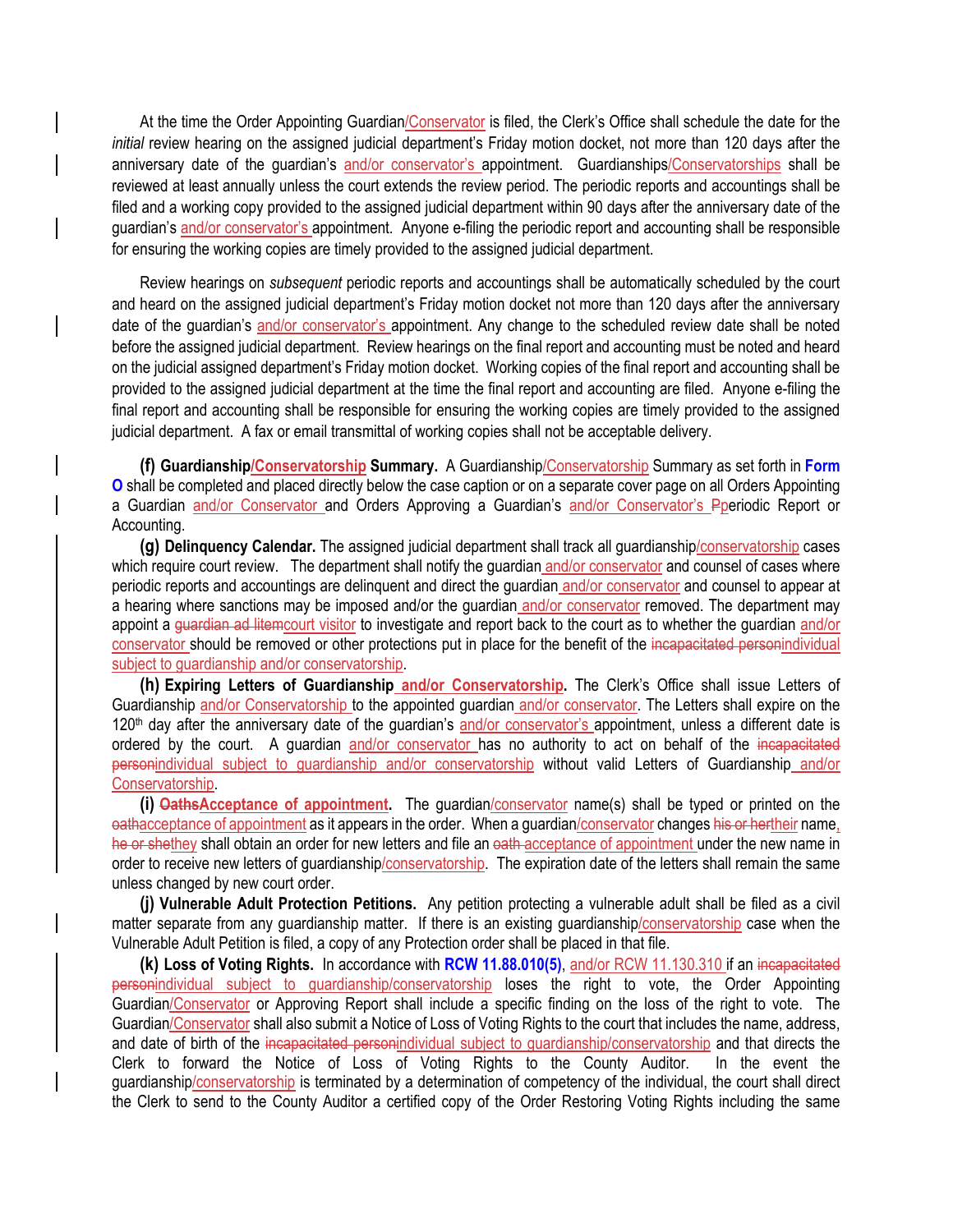At the time the Order Appointing Guardian/Conservator is filed, the Clerk's Office shall schedule the date for the *initial* review hearing on the assigned judicial department's Friday motion docket, not more than 120 days after the anniversary date of the guardian's and/or conservator's appointment. Guardianships/Conservatorships shall be reviewed at least annually unless the court extends the review period. The periodic reports and accountings shall be filed and a working copy provided to the assigned judicial department within 90 days after the anniversary date of the guardian's and/or conservator's appointment. Anyone e-filing the periodic report and accounting shall be responsible for ensuring the working copies are timely provided to the assigned judicial department.

Review hearings on *subsequent* periodic reports and accountings shall be automatically scheduled by the court and heard on the assigned judicial department's Friday motion docket not more than 120 days after the anniversary date of the guardian's and/or conservator's appointment. Any change to the scheduled review date shall be noted before the assigned judicial department. Review hearings on the final report and accounting must be noted and heard on the judicial assigned department's Friday motion docket. Working copies of the final report and accounting shall be provided to the assigned judicial department at the time the final report and accounting are filed. Anyone e-filing the final report and accounting shall be responsible for ensuring the working copies are timely provided to the assigned judicial department. A fax or email transmittal of working copies shall not be acceptable delivery.

**(f) Guardianship/Conservatorship Summary.** A Guardianship/Conservatorship Summary as set forth in **Form O** shall be completed and placed directly below the case caption or on a separate cover page on all Orders Appointing a Guardian and/or Conservator and Orders Approving a Guardian's and/or Conservator's Pperiodic Report or Accounting.

**(g) Delinquency Calendar.** The assigned judicial department shall track all guardianship/conservatorship cases which require court review. The department shall notify the guardian and/or conservator and counsel of cases where periodic reports and accountings are delinquent and direct the guardian and/or conservator and counsel to appear at a hearing where sanctions may be imposed and/or the guardian and/or conservator removed. The department may appoint a guardian ad litemcourt visitor to investigate and report back to the court as to whether the guardian and/or conservator should be removed or other protections put in place for the benefit of the incapacitated personindividual subject to guardianship and/or conservatorship.

**(h) Expiring Letters of Guardianship and/or Conservatorship.** The Clerk's Office shall issue Letters of Guardianship and/or Conservatorship to the appointed guardian and/or conservator. The Letters shall expire on the  $120<sup>th</sup>$  day after the anniversary date of the quardian's and/or conservator's appointment, unless a different date is ordered by the court. A guardian and/or conservator has no authority to act on behalf of the incapacitated personindividual subject to guardianship and/or conservatorship without valid Letters of Guardianship and/or Conservatorship.

**(i) OathsAcceptance of appointment.** The guardian/conservator name(s) shall be typed or printed on the oathacceptance of appointment as it appears in the order. When a quardian/conservator changes his or hertheir name, he or shethey shall obtain an order for new letters and file an eath acceptance of appointment under the new name in order to receive new letters of guardianship/conservatorship. The expiration date of the letters shall remain the same unless changed by new court order.

**(j) Vulnerable Adult Protection Petitions.** Any petition protecting a vulnerable adult shall be filed as a civil matter separate from any guardianship matter. If there is an existing guardianship/conservatorship case when the Vulnerable Adult Petition is filed, a copy of any Protection order shall be placed in that file.

**(k) Loss of Voting Rights.** In accordance with **RCW 11.88.010(5)**, and/or RCW 11.130.310 if an incapacitated personindividual subject to guardianship/conservatorship loses the right to vote, the Order Appointing Guardian/Conservator or Approving Report shall include a specific finding on the loss of the right to vote. The Guardian/Conservator shall also submit a Notice of Loss of Voting Rights to the court that includes the name, address, and date of birth of the incapacitated personindividual subject to guardianship/conservatorship and that directs the Clerk to forward the Notice of Loss of Voting Rights to the County Auditor. In the event the guardianship/conservatorship is terminated by a determination of competency of the individual, the court shall direct the Clerk to send to the County Auditor a certified copy of the Order Restoring Voting Rights including the same